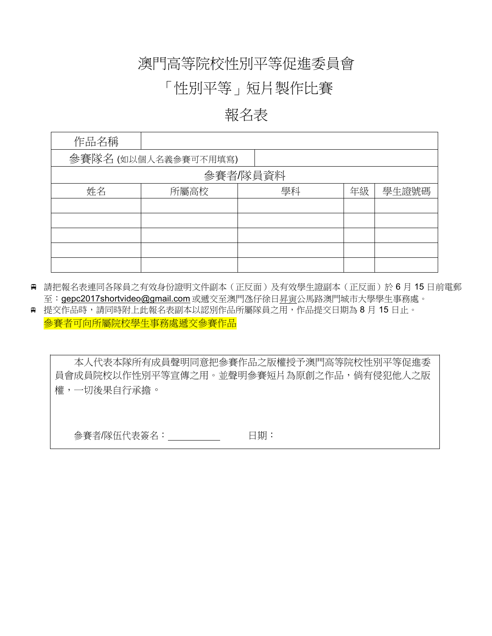### 澳門高等院校性別平等促進委員會

## 「性別平等」短片製作比賽

#### 報名表

| 作品名稱     |                      |    |    |       |  |  |  |
|----------|----------------------|----|----|-------|--|--|--|
|          | 參賽隊名 (如以個人名義參賽可不用填寫) |    |    |       |  |  |  |
| 參賽者/隊員資料 |                      |    |    |       |  |  |  |
| 姓名       | 所屬高校                 | 學科 | 年級 | 學生證號碼 |  |  |  |
|          |                      |    |    |       |  |  |  |
|          |                      |    |    |       |  |  |  |
|          |                      |    |    |       |  |  |  |
|          |                      |    |    |       |  |  |  |
|          |                      |    |    |       |  |  |  |

- 請把報名表連同各隊員之有效身份證明文件副本(正反面)及有效學生證副本(正反面)於 6 月 15 日前電郵 至:gepc2017shortvideo@gmail.com 或遞交至澳門氹仔徐日昇寅公馬路澳門城市大學學生事務處。
- 提交作品時,請同時附上此報名表副本以認別作品所屬隊員之用,作品提交日期為 8 月 15 日止。 參賽者可向所屬院校學生事務處遞交參賽作品

本人代表本隊所有成員聲明同意把參賽作品之版權授予澳門高等院校性別平等促進委 員會成員院校以作性別平等宣傳之用。並聲明參賽短片為原創之作品,倘有侵犯他人之版 權,一切後果自行承擔。

日期:  $\overline{a}$ 参賽者/隊伍代表簽名: \_\_\_\_\_\_\_\_\_\_